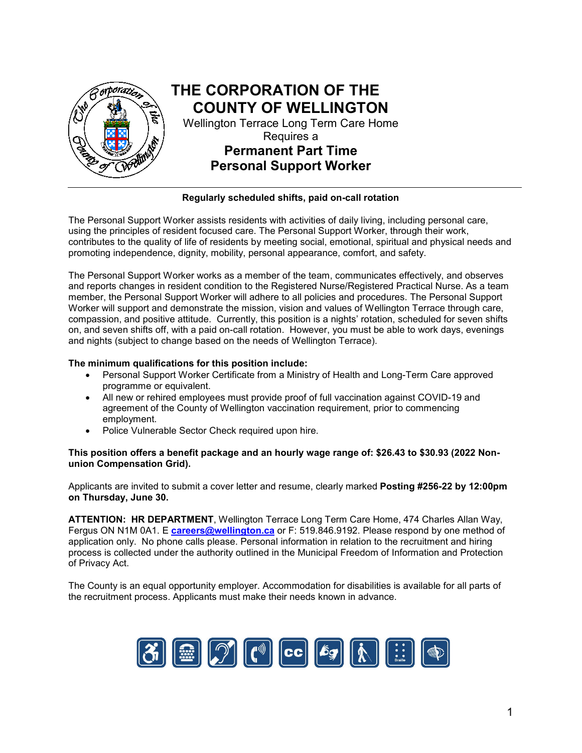

#### **Regularly scheduled shifts, paid on-call rotation**

The Personal Support Worker assists residents with activities of daily living, including personal care, using the principles of resident focused care. The Personal Support Worker, through their work, contributes to the quality of life of residents by meeting social, emotional, spiritual and physical needs and promoting independence, dignity, mobility, personal appearance, comfort, and safety.

The Personal Support Worker works as a member of the team, communicates effectively, and observes and reports changes in resident condition to the Registered Nurse/Registered Practical Nurse. As a team member, the Personal Support Worker will adhere to all policies and procedures. The Personal Support Worker will support and demonstrate the mission, vision and values of Wellington Terrace through care, compassion, and positive attitude. Currently, this position is a nights' rotation, scheduled for seven shifts on, and seven shifts off, with a paid on-call rotation. However, you must be able to work days, evenings and nights (subject to change based on the needs of Wellington Terrace).

#### **The minimum qualifications for this position include:**

- Personal Support Worker Certificate from a Ministry of Health and Long-Term Care approved programme or equivalent.
- All new or rehired employees must provide proof of full vaccination against COVID-19 and agreement of the County of Wellington vaccination requirement, prior to commencing employment.
- Police Vulnerable Sector Check required upon hire.

#### **This position offers a benefit package and an hourly wage range of: \$26.43 to \$30.93 (2022 Nonunion Compensation Grid).**

Applicants are invited to submit a cover letter and resume, clearly marked **Posting #256-22 by 12:00pm on Thursday, June 30.** 

**ATTENTION: HR DEPARTMENT**, Wellington Terrace Long Term Care Home, 474 Charles Allan Way, Fergus ON N1M 0A1. E **[careers@wellington.ca](mailto:careers@wellington.ca)** or F: 519.846.9192. Please respond by one method of application only. No phone calls please. Personal information in relation to the recruitment and hiring process is collected under the authority outlined in the Municipal Freedom of Information and Protection of Privacy Act.

The County is an equal opportunity employer. Accommodation for disabilities is available for all parts of the recruitment process. Applicants must make their needs known in advance.

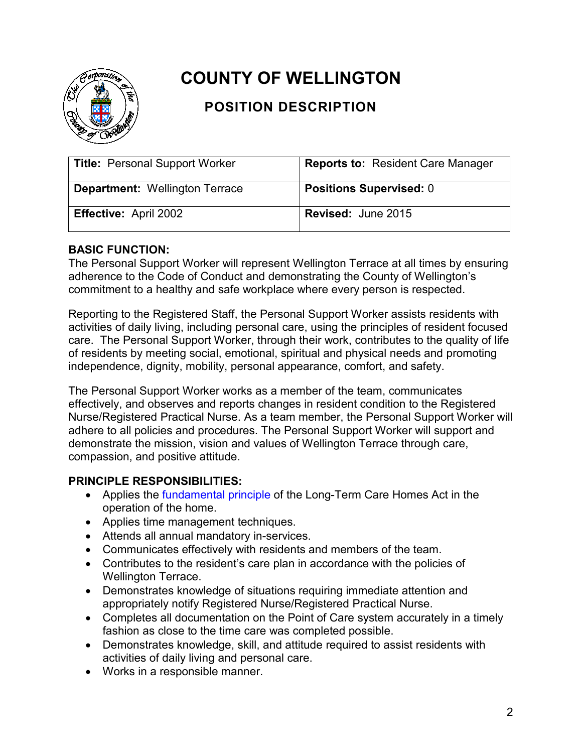

# **COUNTY OF WELLINGTON**

## **POSITION DESCRIPTION**

| <b>Title: Personal Support Worker</b> | <b>Reports to: Resident Care Manager</b> |
|---------------------------------------|------------------------------------------|
| <b>Department: Wellington Terrace</b> | <b>Positions Supervised: 0</b>           |
| <b>Effective: April 2002</b>          | <b>Revised: June 2015</b>                |

## **BASIC FUNCTION:**

The Personal Support Worker will represent Wellington Terrace at all times by ensuring adherence to the Code of Conduct and demonstrating the County of Wellington's commitment to a healthy and safe workplace where every person is respected.

Reporting to the Registered Staff, the Personal Support Worker assists residents with activities of daily living, including personal care, using the principles of resident focused care. The Personal Support Worker, through their work, contributes to the quality of life of residents by meeting social, emotional, spiritual and physical needs and promoting independence, dignity, mobility, personal appearance, comfort, and safety.

The Personal Support Worker works as a member of the team, communicates effectively, and observes and reports changes in resident condition to the Registered Nurse/Registered Practical Nurse. As a team member, the Personal Support Worker will adhere to all policies and procedures. The Personal Support Worker will support and demonstrate the mission, vision and values of Wellington Terrace through care, compassion, and positive attitude.

## **PRINCIPLE RESPONSIBILITIES:**

- Applies the [fundamental principle](http://www.ontario.ca/laws/statute/07l08%20-%20BK1%20-%20BK1#BK1) of the Long-Term Care Homes Act in the operation of the home.
- Applies time management techniques.
- Attends all annual mandatory in-services.
- Communicates effectively with residents and members of the team.
- Contributes to the resident's care plan in accordance with the policies of Wellington Terrace.
- Demonstrates knowledge of situations requiring immediate attention and appropriately notify Registered Nurse/Registered Practical Nurse.
- Completes all documentation on the Point of Care system accurately in a timely fashion as close to the time care was completed possible.
- Demonstrates knowledge, skill, and attitude required to assist residents with activities of daily living and personal care.
- Works in a responsible manner.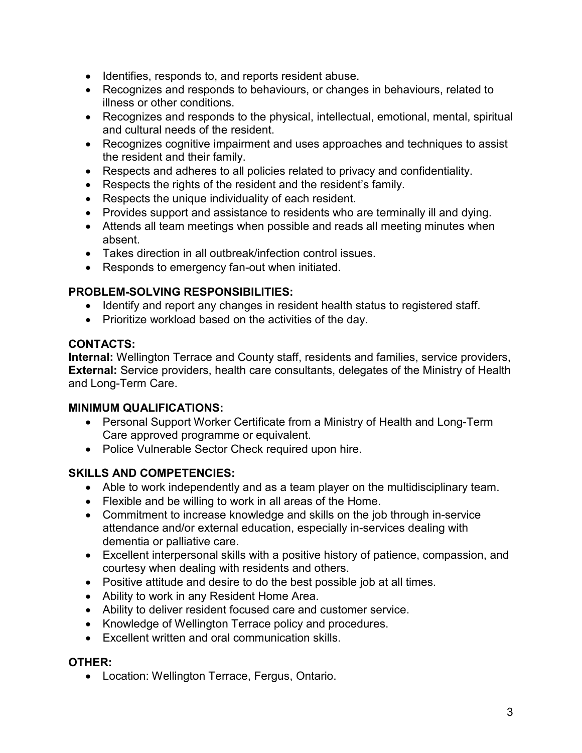- Identifies, responds to, and reports resident abuse.
- Recognizes and responds to behaviours, or changes in behaviours, related to illness or other conditions.
- Recognizes and responds to the physical, intellectual, emotional, mental, spiritual and cultural needs of the resident.
- Recognizes cognitive impairment and uses approaches and techniques to assist the resident and their family.
- Respects and adheres to all policies related to privacy and confidentiality.
- Respects the rights of the resident and the resident's family.
- Respects the unique individuality of each resident.
- Provides support and assistance to residents who are terminally ill and dying.
- Attends all team meetings when possible and reads all meeting minutes when absent.
- Takes direction in all outbreak/infection control issues.
- Responds to emergency fan-out when initiated.

## **PROBLEM-SOLVING RESPONSIBILITIES:**

- Identify and report any changes in resident health status to registered staff.
- Prioritize workload based on the activities of the day.

## **CONTACTS:**

**Internal:** Wellington Terrace and County staff, residents and families, service providers, **External:** Service providers, health care consultants, delegates of the Ministry of Health and Long-Term Care.

## **MINIMUM QUALIFICATIONS:**

- Personal Support Worker Certificate from a Ministry of Health and Long-Term Care approved programme or equivalent.
- Police Vulnerable Sector Check required upon hire.

## **SKILLS AND COMPETENCIES:**

- Able to work independently and as a team player on the multidisciplinary team.
- Flexible and be willing to work in all areas of the Home.
- Commitment to increase knowledge and skills on the job through in-service attendance and/or external education, especially in-services dealing with dementia or palliative care.
- Excellent interpersonal skills with a positive history of patience, compassion, and courtesy when dealing with residents and others.
- Positive attitude and desire to do the best possible job at all times.
- Ability to work in any Resident Home Area.
- Ability to deliver resident focused care and customer service.
- Knowledge of Wellington Terrace policy and procedures.
- Excellent written and oral communication skills.

## **OTHER:**

• Location: Wellington Terrace, Fergus, Ontario.